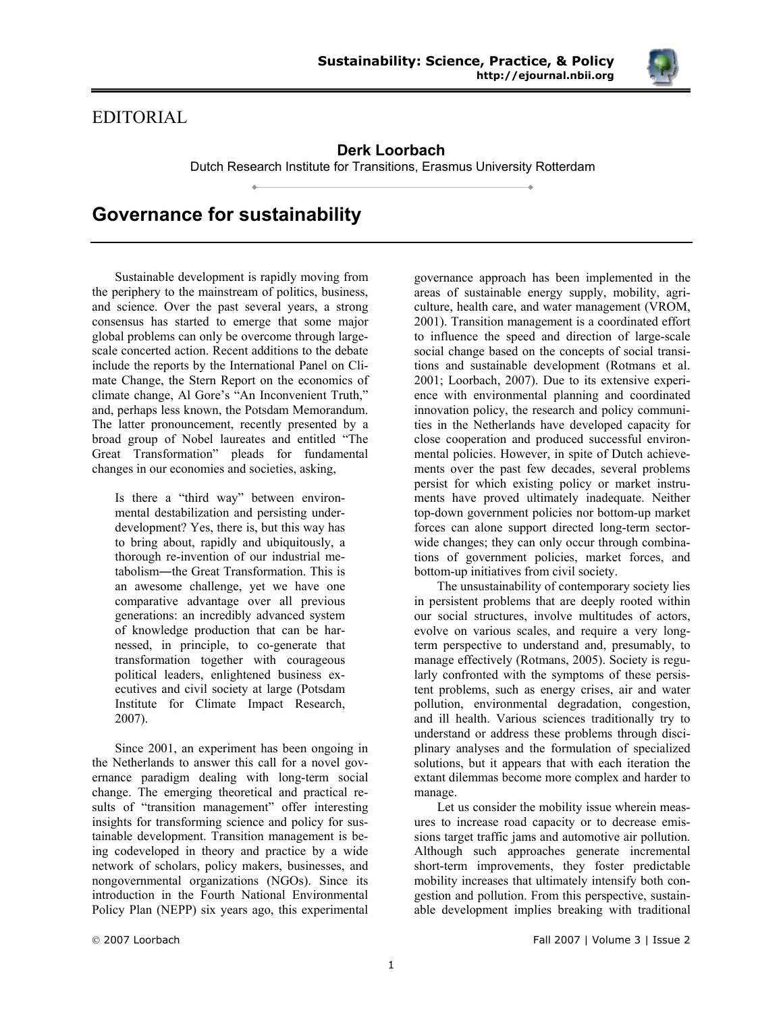

## EDITORIAL

**Derk Loorbach**  Dutch Research Institute for Transitions, Erasmus University Rotterdam

**Governance for sustainability** 

Sustainable development is rapidly moving from the periphery to the mainstream of politics, business, and science. Over the past several years, a strong consensus has started to emerge that some major global problems can only be overcome through largescale concerted action. Recent additions to the debate include the reports by the International Panel on Climate Change, the Stern Report on the economics of climate change, Al Gore's "An Inconvenient Truth," and, perhaps less known, the Potsdam Memorandum. The latter pronouncement, recently presented by a broad group of Nobel laureates and entitled "The Great Transformation" pleads for fundamental changes in our economies and societies, asking,

Is there a "third way" between environmental destabilization and persisting underdevelopment? Yes, there is, but this way has to bring about, rapidly and ubiquitously, a thorough re-invention of our industrial metabolism―the Great Transformation. This is an awesome challenge, yet we have one comparative advantage over all previous generations: an incredibly advanced system of knowledge production that can be harnessed, in principle, to co-generate that transformation together with courageous political leaders, enlightened business executives and civil society at large (Potsdam Institute for Climate Impact Research, 2007).

Since 2001, an experiment has been ongoing in the Netherlands to answer this call for a novel governance paradigm dealing with long-term social change. The emerging theoretical and practical results of "transition management" offer interesting insights for transforming science and policy for sustainable development. Transition management is being codeveloped in theory and practice by a wide network of scholars, policy makers, businesses, and nongovernmental organizations (NGOs). Since its introduction in the Fourth National Environmental Policy Plan (NEPP) six years ago, this experimental governance approach has been implemented in the areas of sustainable energy supply, mobility, agriculture, health care, and water management (VROM, 2001). Transition management is a coordinated effort to influence the speed and direction of large-scale social change based on the concepts of social transitions and sustainable development (Rotmans et al. 2001; Loorbach, 2007). Due to its extensive experience with environmental planning and coordinated innovation policy, the research and policy communities in the Netherlands have developed capacity for close cooperation and produced successful environmental policies. However, in spite of Dutch achievements over the past few decades, several problems persist for which existing policy or market instruments have proved ultimately inadequate. Neither top-down government policies nor bottom-up market forces can alone support directed long-term sectorwide changes; they can only occur through combinations of government policies, market forces, and bottom-up initiatives from civil society.

The unsustainability of contemporary society lies in persistent problems that are deeply rooted within our social structures, involve multitudes of actors, evolve on various scales, and require a very longterm perspective to understand and, presumably, to manage effectively (Rotmans, 2005). Society is regularly confronted with the symptoms of these persistent problems, such as energy crises, air and water pollution, environmental degradation, congestion, and ill health. Various sciences traditionally try to understand or address these problems through disciplinary analyses and the formulation of specialized solutions, but it appears that with each iteration the extant dilemmas become more complex and harder to manage.

Let us consider the mobility issue wherein measures to increase road capacity or to decrease emissions target traffic jams and automotive air pollution. Although such approaches generate incremental short-term improvements, they foster predictable mobility increases that ultimately intensify both congestion and pollution. From this perspective, sustainable development implies breaking with traditional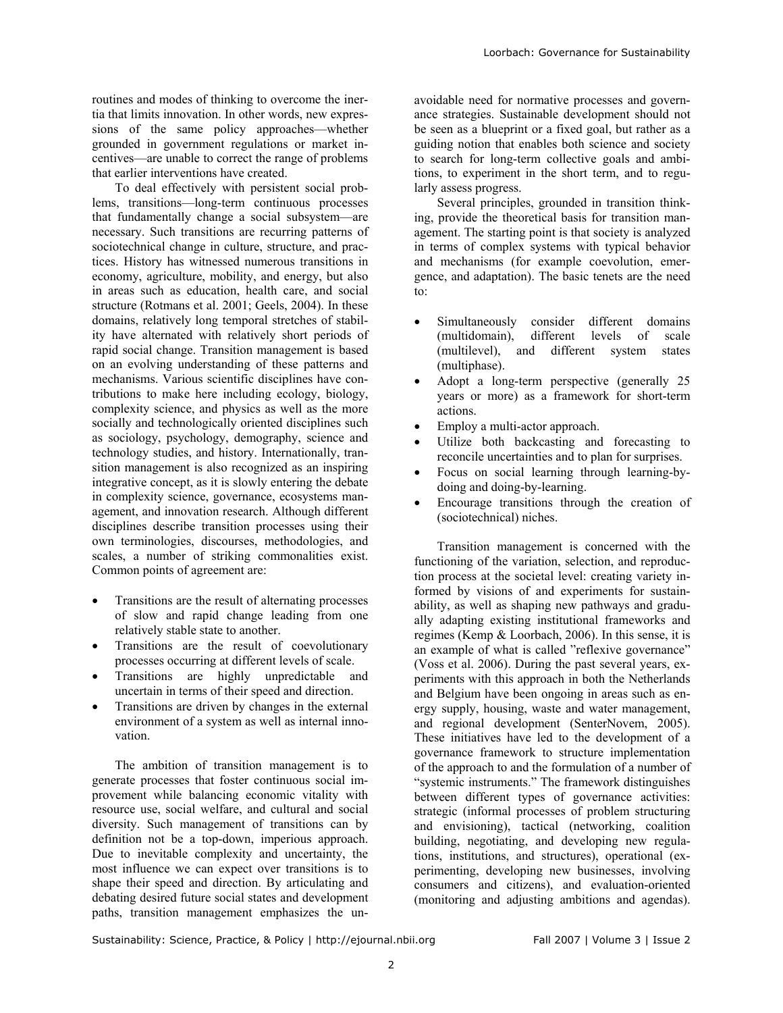routines and modes of thinking to overcome the inertia that limits innovation. In other words, new expressions of the same policy approaches—whether grounded in government regulations or market incentives—are unable to correct the range of problems that earlier interventions have created.

To deal effectively with persistent social problems, transitions—long-term continuous processes that fundamentally change a social subsystem—are necessary. Such transitions are recurring patterns of sociotechnical change in culture, structure, and practices. History has witnessed numerous transitions in economy, agriculture, mobility, and energy, but also in areas such as education, health care, and social structure (Rotmans et al. 2001; Geels, 2004). In these domains, relatively long temporal stretches of stability have alternated with relatively short periods of rapid social change. Transition management is based on an evolving understanding of these patterns and mechanisms. Various scientific disciplines have contributions to make here including ecology, biology, complexity science, and physics as well as the more socially and technologically oriented disciplines such as sociology, psychology, demography, science and technology studies, and history. Internationally, transition management is also recognized as an inspiring integrative concept, as it is slowly entering the debate in complexity science, governance, ecosystems management, and innovation research. Although different disciplines describe transition processes using their own terminologies, discourses, methodologies, and scales, a number of striking commonalities exist. Common points of agreement are:

- Transitions are the result of alternating processes of slow and rapid change leading from one relatively stable state to another.
- Transitions are the result of coevolutionary processes occurring at different levels of scale.
- Transitions are highly unpredictable and uncertain in terms of their speed and direction.
- Transitions are driven by changes in the external environment of a system as well as internal innovation.

The ambition of transition management is to generate processes that foster continuous social improvement while balancing economic vitality with resource use, social welfare, and cultural and social diversity. Such management of transitions can by definition not be a top-down, imperious approach. Due to inevitable complexity and uncertainty, the most influence we can expect over transitions is to shape their speed and direction. By articulating and debating desired future social states and development paths, transition management emphasizes the unavoidable need for normative processes and governance strategies. Sustainable development should not be seen as a blueprint or a fixed goal, but rather as a guiding notion that enables both science and society to search for long-term collective goals and ambitions, to experiment in the short term, and to regularly assess progress.

Several principles, grounded in transition thinking, provide the theoretical basis for transition management. The starting point is that society is analyzed in terms of complex systems with typical behavior and mechanisms (for example coevolution, emergence, and adaptation). The basic tenets are the need to:

- Simultaneously consider different domains (multidomain), different levels of scale (multilevel), and different system states (multiphase).
- Adopt a long-term perspective (generally 25 years or more) as a framework for short-term actions.
- Employ a multi-actor approach.
- Utilize both backcasting and forecasting to reconcile uncertainties and to plan for surprises.
- Focus on social learning through learning-bydoing and doing-by-learning.
- Encourage transitions through the creation of (sociotechnical) niches.

Transition management is concerned with the functioning of the variation, selection, and reproduction process at the societal level: creating variety informed by visions of and experiments for sustainability, as well as shaping new pathways and gradually adapting existing institutional frameworks and regimes (Kemp & Loorbach, 2006). In this sense, it is an example of what is called "reflexive governance" (Voss et al. 2006). During the past several years, experiments with this approach in both the Netherlands and Belgium have been ongoing in areas such as energy supply, housing, waste and water management, and regional development (SenterNovem, 2005). These initiatives have led to the development of a governance framework to structure implementation of the approach to and the formulation of a number of "systemic instruments." The framework distinguishes between different types of governance activities: strategic (informal processes of problem structuring and envisioning), tactical (networking, coalition building, negotiating, and developing new regulations, institutions, and structures), operational (experimenting, developing new businesses, involving consumers and citizens), and evaluation-oriented (monitoring and adjusting ambitions and agendas).

Sustainability: Science, Practice, & Policy | http://ejournal.nbii.org Fall 2007 | Volume 3 | Issue 2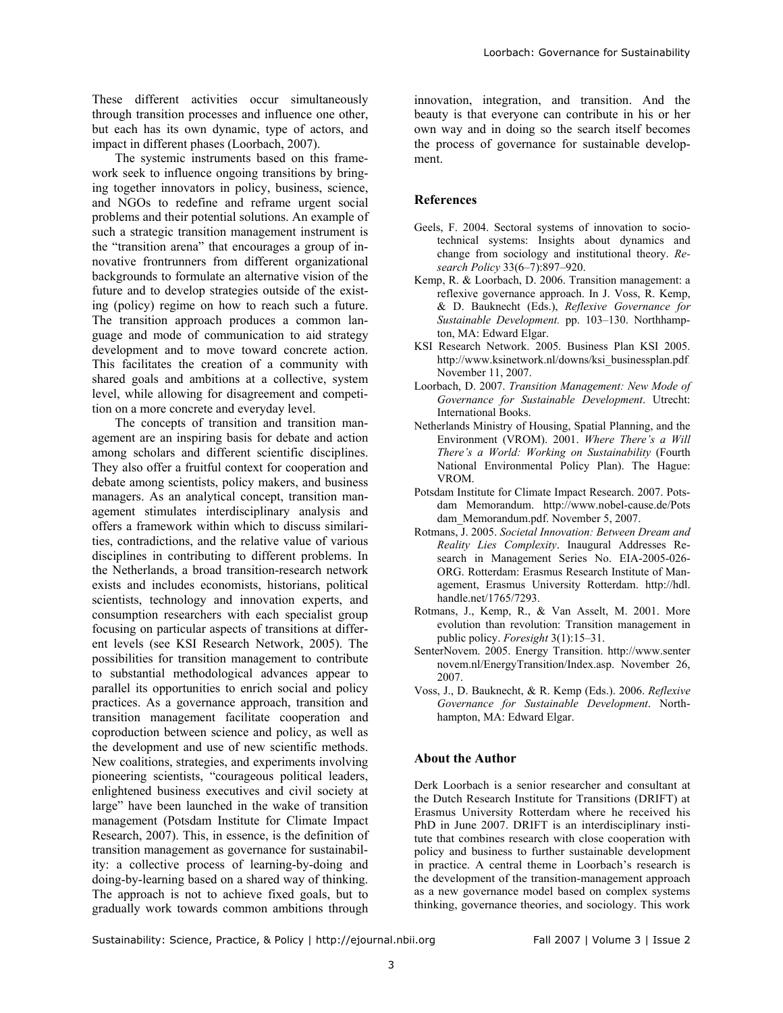These different activities occur simultaneously through transition processes and influence one other, but each has its own dynamic, type of actors, and impact in different phases (Loorbach, 2007).

The systemic instruments based on this framework seek to influence ongoing transitions by bringing together innovators in policy, business, science, and NGOs to redefine and reframe urgent social problems and their potential solutions. An example of such a strategic transition management instrument is the "transition arena" that encourages a group of innovative frontrunners from different organizational backgrounds to formulate an alternative vision of the future and to develop strategies outside of the existing (policy) regime on how to reach such a future. The transition approach produces a common language and mode of communication to aid strategy development and to move toward concrete action. This facilitates the creation of a community with shared goals and ambitions at a collective, system level, while allowing for disagreement and competition on a more concrete and everyday level.

The concepts of transition and transition management are an inspiring basis for debate and action among scholars and different scientific disciplines. They also offer a fruitful context for cooperation and debate among scientists, policy makers, and business managers. As an analytical concept, transition management stimulates interdisciplinary analysis and offers a framework within which to discuss similarities, contradictions, and the relative value of various disciplines in contributing to different problems. In the Netherlands, a broad transition-research network exists and includes economists, historians, political scientists, technology and innovation experts, and consumption researchers with each specialist group focusing on particular aspects of transitions at different levels (see KSI Research Network, 2005). The possibilities for transition management to contribute to substantial methodological advances appear to parallel its opportunities to enrich social and policy practices. As a governance approach, transition and transition management facilitate cooperation and coproduction between science and policy, as well as the development and use of new scientific methods. New coalitions, strategies, and experiments involving pioneering scientists, "courageous political leaders, enlightened business executives and civil society at large" have been launched in the wake of transition management (Potsdam Institute for Climate Impact Research, 2007). This, in essence, is the definition of transition management as governance for sustainability: a collective process of learning-by-doing and doing-by-learning based on a shared way of thinking. The approach is not to achieve fixed goals, but to gradually work towards common ambitions through

innovation, integration, and transition. And the beauty is that everyone can contribute in his or her own way and in doing so the search itself becomes the process of governance for sustainable development.

## **References**

- Geels, F. 2004. Sectoral systems of innovation to sociotechnical systems: Insights about dynamics and change from sociology and institutional theory. *Research Policy* 33(6–7):897–920.
- Kemp, R. & Loorbach, D. 2006. Transition management: a reflexive governance approach. In J. Voss, R. Kemp, & D. Bauknecht (Eds.), *Reflexive Governance for Sustainable Development.* pp. 103–130. Northhampton, MA: Edward Elgar.
- KSI Research Network. 2005. Business Plan KSI 2005. http://www.ksinetwork.nl/downs/ksi\_businessplan.pdf. November 11, 2007.
- Loorbach, D. 2007. *Transition Management: New Mode of Governance for Sustainable Development*. Utrecht: International Books.
- Netherlands Ministry of Housing, Spatial Planning, and the Environment (VROM). 2001. *Where There's a Will There's a World: Working on Sustainability* (Fourth National Environmental Policy Plan). The Hague: VROM.
- Potsdam Institute for Climate Impact Research. 2007. Potsdam Memorandum. http://www.nobel-cause.de/Pots dam\_Memorandum.pdf. November 5, 2007.
- Rotmans, J. 2005. *Societal Innovation: Between Dream and Reality Lies Complexity*. Inaugural Addresses Research in Management Series No. EIA-2005-026- ORG. Rotterdam: Erasmus Research Institute of Management, Erasmus University Rotterdam. http://hdl. handle.net/1765/7293.
- Rotmans, J., Kemp, R., & Van Asselt, M. 2001. More evolution than revolution: Transition management in public policy. *Foresight* 3(1):15–31.
- SenterNovem. 2005. Energy Transition. http://www.senter novem.nl/EnergyTransition/Index.asp. November 26, 2007.
- Voss, J., D. Bauknecht, & R. Kemp (Eds.). 2006. *Reflexive Governance for Sustainable Development*. Northhampton, MA: Edward Elgar.

## **About the Author**

Derk Loorbach is a senior researcher and consultant at the Dutch Research Institute for Transitions (DRIFT) at Erasmus University Rotterdam where he received his PhD in June 2007. DRIFT is an interdisciplinary institute that combines research with close cooperation with policy and business to further sustainable development in practice. A central theme in Loorbach's research is the development of the transition-management approach as a new governance model based on complex systems thinking, governance theories, and sociology. This work

Sustainability: Science, Practice, & Policy | http://ejournal.nbii.org Fall 2007 | Volume 3 | Issue 2